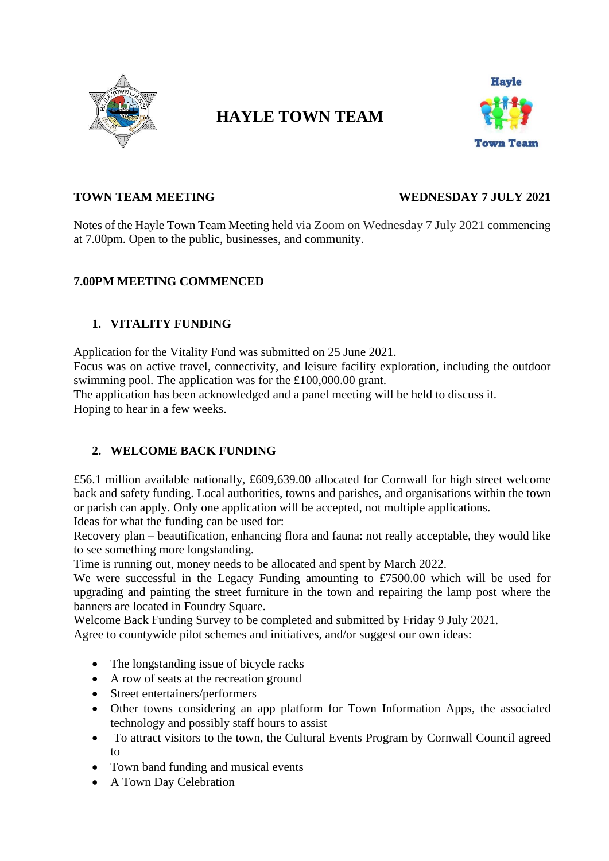

# **HAYLE TOWN TEAM**



# **TOWN TEAM MEETING WEDNESDAY 7 JULY 2021**

Notes of the Hayle Town Team Meeting held via Zoom on Wednesday 7 July 2021 commencing at 7.00pm. Open to the public, businesses, and community.

# **7.00PM MEETING COMMENCED**

# **1. VITALITY FUNDING**

Application for the Vitality Fund was submitted on 25 June 2021.

Focus was on active travel, connectivity, and leisure facility exploration, including the outdoor swimming pool. The application was for the £100,000.00 grant.

The application has been acknowledged and a panel meeting will be held to discuss it. Hoping to hear in a few weeks.

# **2. WELCOME BACK FUNDING**

£56.1 million available nationally, £609,639.00 allocated for Cornwall for high street welcome back and safety funding. Local authorities, towns and parishes, and organisations within the town or parish can apply. Only one application will be accepted, not multiple applications.

Ideas for what the funding can be used for:

Recovery plan – beautification, enhancing flora and fauna: not really acceptable, they would like to see something more longstanding.

Time is running out, money needs to be allocated and spent by March 2022.

We were successful in the Legacy Funding amounting to £7500.00 which will be used for upgrading and painting the street furniture in the town and repairing the lamp post where the banners are located in Foundry Square.

Welcome Back Funding Survey to be completed and submitted by Friday 9 July 2021.

Agree to countywide pilot schemes and initiatives, and/or suggest our own ideas:

- The longstanding issue of bicycle racks
- A row of seats at the recreation ground
- Street entertainers/performers
- Other towns considering an app platform for Town Information Apps, the associated technology and possibly staff hours to assist
- To attract visitors to the town, the Cultural Events Program by Cornwall Council agreed to
- Town band funding and musical events
- A Town Day Celebration